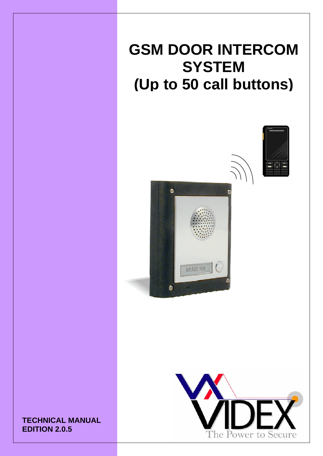# **GSM DOOR INTERCOM SYSTEM (Up to 50 call buttons)**





**TECHNICAL MANUAL EDITION 2.0.5**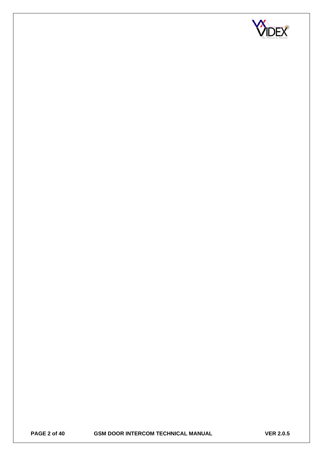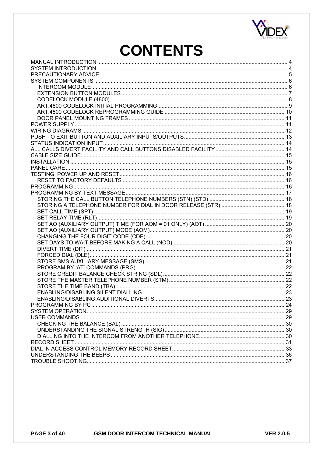

# **CONTENTS**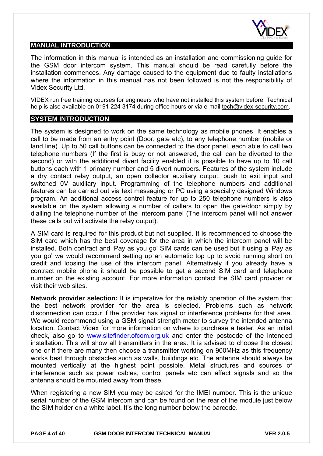

# **MANUAL INTRODUCTION**

The information in this manual is intended as an installation and commissioning guide for the GSM door intercom system. This manual should be read carefully before the installation commences. Any damage caused to the equipment due to faulty installations where the information in this manual has not been followed is not the responsibility of Videx Security Ltd.

VIDEX run free training courses for engineers who have not installed this system before. Technical help is also available on 0191 224 3174 during office hours or via e-mail tech@videx-security.com.

#### **SYSTEM INTRODUCTION**

The system is designed to work on the same technology as mobile phones. It enables a call to be made from an entry point (Door, gate etc), to any telephone number (mobile or land line). Up to 50 call buttons can be connected to the door panel, each able to call two telephone numbers (If the first is busy or not answered, the call can be diverted to the second) or with the additional divert facility enabled it is possible to have up to 10 call buttons each with 1 primary number and 5 divert numbers. Features of the system include a dry contact relay output, an open collector auxiliary output, push to exit input and switched 0V auxiliary input. Programming of the telephone numbers and additional features can be carried out via text messaging or PC using a specially designed Windows program. An additional access control feature for up to 250 telephone numbers is also available on the system allowing a number of callers to open the gate/door simply by dialling the telephone number of the intercom panel (The intercom panel will not answer these calls but will activate the relay output).

A SIM card is required for this product but not supplied. It is recommended to choose the SIM card which has the best coverage for the area in which the intercom panel will be installed. Both contract and 'Pay as you go' SIM cards can be used but if using a 'Pay as you go' we would recommend setting up an automatic top up to avoid running short on credit and loosing the use of the intercom panel. Alternatively if you already have a contract mobile phone it should be possible to get a second SIM card and telephone number on the existing account. For more information contact the SIM card provider or visit their web sites.

**Network provider selection:** It is imperative for the reliably operation of the system that the best network provider for the area is selected. Problems such as network disconnection can occur if the provider has signal or interference problems for that area. We would recommend using a GSM signal strength meter to survey the intended antenna location. Contact Videx for more information on where to purchase a tester. As an initial check, also go to www.sitefinder.ofcom.org.uk and enter the postcode of the intended installation. This will show all transmitters in the area. It is advised to choose the closest one or if there are many then choose a transmitter working on 900MHz as this frequency works best through obstacles such as walls, buildings etc. The antenna should always be mounted vertically at the highest point possible. Metal structures and sources of interference such as power cables, control panels etc can affect signals and so the antenna should be mounted away from these.

When registering a new SIM you may be asked for the IMEI number. This is the unique serial number of the GSM intercom and can be found on the rear of the module just below the SIM holder on a white label. It's the long number below the barcode.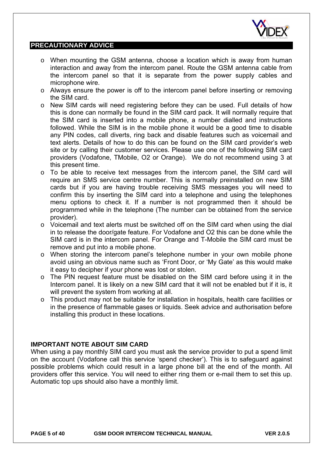

#### **PRECAUTIONARY ADVICE**

- o When mounting the GSM antenna, choose a location which is away from human interaction and away from the intercom panel. Route the GSM antenna cable from the intercom panel so that it is separate from the power supply cables and microphone wire.
- o Always ensure the power is off to the intercom panel before inserting or removing the SIM card.
- o New SIM cards will need registering before they can be used. Full details of how this is done can normally be found in the SIM card pack. It will normally require that the SIM card is inserted into a mobile phone, a number dialled and instructions followed. While the SIM is in the mobile phone it would be a good time to disable any PIN codes, call diverts, ring back and disable features such as voicemail and text alerts. Details of how to do this can be found on the SIM card provider's web site or by calling their customer services. Please use one of the following SIM card providers (Vodafone, TMobile, O2 or Orange). We do not recommend using 3 at this present time.
- o To be able to receive text messages from the intercom panel, the SIM card will require an SMS service centre number. This is normally preinstalled on new SIM cards but if you are having trouble receiving SMS messages you will need to confirm this by inserting the SIM card into a telephone and using the telephones menu options to check it. If a number is not programmed then it should be programmed while in the telephone (The number can be obtained from the service provider).
- o Voicemail and text alerts must be switched off on the SIM card when using the dial in to release the door/gate feature. For Vodafone and O2 this can be done while the SIM card is in the intercom panel. For Orange and T-Mobile the SIM card must be remove and put into a mobile phone.
- o When storing the intercom panel's telephone number in your own mobile phone avoid using an obvious name such as 'Front Door, or 'My Gate' as this would make it easy to decipher if your phone was lost or stolen.
- o The PIN request feature must be disabled on the SIM card before using it in the Intercom panel. It is likely on a new SIM card that it will not be enabled but if it is, it will prevent the system from working at all.
- o This product may not be suitable for installation in hospitals, health care facilities or in the presence of flammable gases or liquids. Seek advice and authorisation before installing this product in these locations.

#### **IMPORTANT NOTE ABOUT SIM CARD**

When using a pay monthly SIM card you must ask the service provider to put a spend limit on the account (Vodafone call this service 'spend checker'). This is to safeguard against possible problems which could result in a large phone bill at the end of the month. All providers offer this service. You will need to either ring them or e-mail them to set this up. Automatic top ups should also have a monthly limit.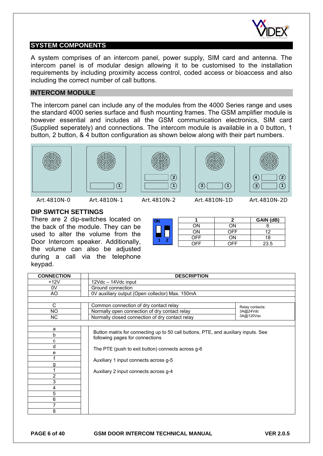

## **SYSTEM COMPONENTS**

A system comprises of an intercom panel, power supply, SIM card and antenna. The intercom panel is of modular design allowing it to be customised to the installation requirements by including proximity access control, coded access or bioaccess and also including the correct number of call buttons.

#### **INTERCOM MODULE**

The intercom panel can include any of the modules from the 4000 Series range and uses the standard 4000 series surface and flush mounting frames. The GSM amplifier module is however essential and includes all the GSM communication electronics, SIM card (Supplied seperately) and connections. The intercom module is available in a 0 button, 1 button, 2 button, & 4 button configuration as shown below along with their part numbers.











keypad.

**DIP SWITCH SETTINGS** 

There are 2 dip-switches located on the back of the module. They can be used to alter the volume from the Door Intercom speaker. Additionally, the volume can also be adjusted during a call via the telephone

Art.4810N-0 Art.4810N-1 Art.4810N-2 Art.4810N-1D Art.4810N-2D

|            |     | GAIN (dB) |
|------------|-----|-----------|
| NС         | ΟN  |           |
| ЭN         | ∩FF | 1 ຕ       |
| OFF        | OΝ  | 18        |
| <b>DEE</b> | 7EE | 23.5      |

| <b>CONNECTION</b> | <b>DESCRIPTION</b>                                                                 |                 |
|-------------------|------------------------------------------------------------------------------------|-----------------|
| $+12V$            | 12Vdc - 14Vdc input                                                                |                 |
| 0V                | Ground connection                                                                  |                 |
| AO                | 0V auxiliary output (Open collector) Max. 150mA                                    |                 |
|                   |                                                                                    |                 |
| C                 | Common connection of dry contact relay                                             | Relay contacts: |
| <b>NO</b>         | Normally open connection of dry contact relay                                      | 3A@24Vdc        |
| NC                | Normally closed connection of dry contact relay                                    | 3A@120Vac       |
|                   |                                                                                    |                 |
| а                 |                                                                                    |                 |
| b                 | Button matrix for connecting up to 50 call buttons, PTE, and auxiliary inputs. See |                 |
| c                 | following pages for connections                                                    |                 |
| d                 | The PTE (push to exit button) connects across g-6                                  |                 |
| е                 |                                                                                    |                 |
|                   | Auxiliary 1 input connects across g-5                                              |                 |
| g                 |                                                                                    |                 |
|                   | Auxiliary 2 input connects across g-4                                              |                 |
| $\overline{2}$    |                                                                                    |                 |
| 3                 |                                                                                    |                 |
| 4                 |                                                                                    |                 |
| 5                 |                                                                                    |                 |
| 6                 |                                                                                    |                 |
| 7                 |                                                                                    |                 |
| 8                 |                                                                                    |                 |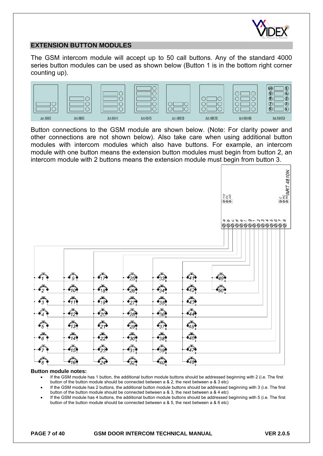

#### **EXTENSION BUTTON MODULES**

The GSM intercom module will accept up to 50 call buttons. Any of the standard 4000 series button modules can be used as shown below (Button 1 is in the bottom right corner counting up).



Button connections to the GSM module are shown below. (Note: For clarity power and other connections are not shown below). Also take care when using additional button modules with intercom modules which also have buttons. For example, an intercom module with one button means the extension button modules must begin from button 2, an intercom module with 2 buttons means the extension module must begin from button 3.



#### **Button module notes:**

 If the GSM module has 1 button, the additional button module buttons should be addressed beginning with 2 (i.e. The first button of the button module should be connected between a & 2, the next between a & 3 etc)

 If the GSM module has 2 buttons, the additional button module buttons should be addressed beginning with 3 (i.e. The first button of the button module should be connected between a & 3, the next between a & 4 etc)

 If the GSM module has 4 buttons, the additional button module buttons should be addressed beginning with 5 (i.e. The first button of the button module should be connected between a & 5, the next between a & 6 etc)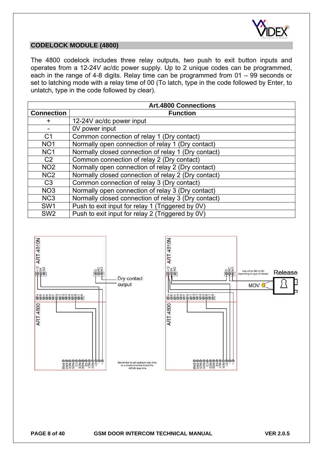

#### **CODELOCK MODULE (4800)**

The 4800 codelock includes three relay outputs, two push to exit button inputs and operates from a 12-24V ac/dc power supply. Up to 2 unique codes can be programmed, each in the range of 4-8 digits. Relay time can be programmed from 01 – 99 seconds or set to latching mode with a relay time of 00 (To latch, type in the code followed by Enter, to unlatch, type in the code followed by clear).

| <b>Art.4800 Connections</b> |                                                     |
|-----------------------------|-----------------------------------------------------|
| <b>Connection</b>           | <b>Function</b>                                     |
| ٠                           | 12-24V ac/dc power input                            |
|                             | 0V power input                                      |
| C <sub>1</sub>              | Common connection of relay 1 (Dry contact)          |
| NO <sub>1</sub>             | Normally open connection of relay 1 (Dry contact)   |
| NC <sub>1</sub>             | Normally closed connection of relay 1 (Dry contact) |
| C <sub>2</sub>              | Common connection of relay 2 (Dry contact)          |
| NO <sub>2</sub>             | Normally open connection of relay 2 (Dry contact)   |
| NC <sub>2</sub>             | Normally closed connection of relay 2 (Dry contact) |
| C <sub>3</sub>              | Common connection of relay 3 (Dry contact)          |
| NO <sub>3</sub>             | Normally open connection of relay 3 (Dry contact)   |
| N <sub>C</sub> 3            | Normally closed connection of relay 3 (Dry contact) |
| SW <sub>1</sub>             | Push to exit input for relay 1 (Triggered by 0V)    |
| SW <sub>2</sub>             | Push to exit input for relay 2 (Triggered by 0V)    |

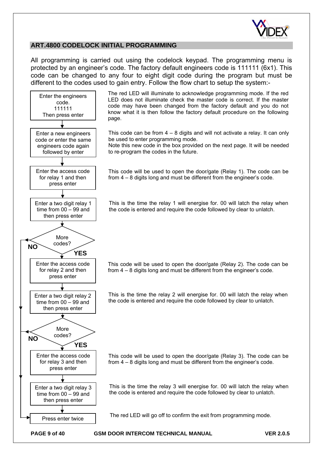

#### **ART.4800 CODELOCK INITIAL PROGRAMMING**

All programming is carried out using the codelock keypad. The programming menu is protected by an engineer's code. The factory default engineers code is 111111 (6x1). This code can be changed to any four to eight digit code during the program but must be different to the codes used to gain entry. Follow the flow chart to setup the system:-

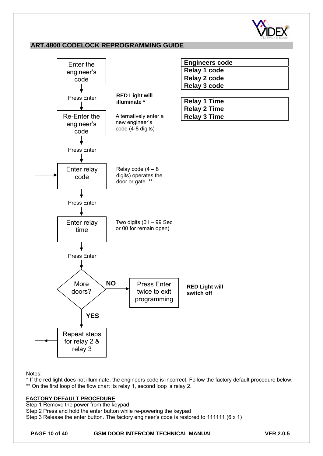

## **ART.4800 CODELOCK REPROGRAMMING GUIDE**



Notes:

If the red light does not illuminate, the engineers code is incorrect. Follow the factory default procedure below. \*\* On the first loop of the flow chart its relay 1, second loop is relay 2.

#### **FACTORY DEFAULT PROCEDURE**

Step 1 Remove the power from the keypad Step 2 Press and hold the enter button while re-powering the keypad Step 3 Release the enter button. The factory engineer's code is restored to 111111 (6 x 1)

#### **PAGE 10 of 40 GSM DOOR INTERCOM TECHNICAL MANUAL VER 2.0.5**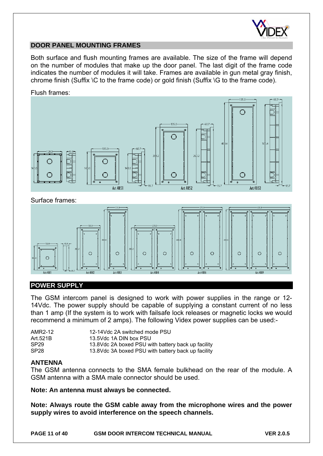

## **DOOR PANEL MOUNTING FRAMES**

Both surface and flush mounting frames are available. The size of the frame will depend on the number of modules that make up the door panel. The last digit of the frame code indicates the number of modules it will take. Frames are available in gun metal gray finish, chrome finish (Suffix \C to the frame code) or gold finish (Suffix \G to the frame code).



#### **POWER SUPPLY**

The GSM intercom panel is designed to work with power supplies in the range or 12- 14Vdc. The power supply should be capable of supplying a constant current of no less than 1 amp (If the system is to work with failsafe lock releases or magnetic locks we would recommend a minimum of 2 amps). The following Videx power supplies can be used:-

| AMR2-12          | 12-14Vdc 2A switched mode PSU                      |
|------------------|----------------------------------------------------|
| Art.521B         | 13.5Vdc 1A DIN box PSU                             |
| SP <sub>29</sub> | 13.8Vdc 2A boxed PSU with battery back up facility |
| SP <sub>28</sub> | 13.8Vdc 3A boxed PSU with battery back up facility |

#### **ANTENNA**

The GSM antenna connects to the SMA female bulkhead on the rear of the module. A GSM antenna with a SMA male connector should be used.

#### **Note: An antenna must always be connected.**

**Note: Always route the GSM cable away from the microphone wires and the power supply wires to avoid interference on the speech channels.**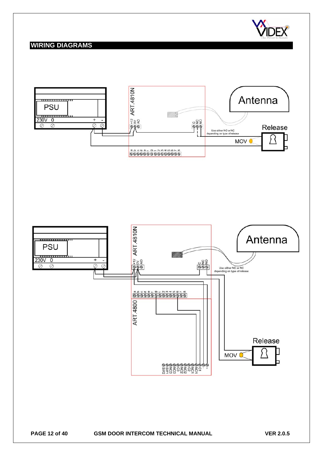

# **WIRING DIAGRAMS**

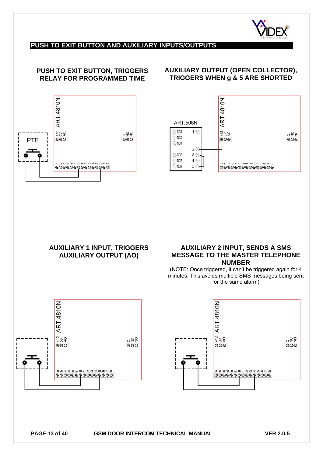

# **PUSH TO EXIT BUTTON AND AUXILIARY INPUTS/OUTPUTS**

**PUSH TO EXIT BUTTON, TRIGGERS RELAY FOR PROGRAMMED TIME** 







# **AUXILIARY 1 INPUT, TRIGGERS AUXILIARY OUTPUT (AO)**

#### **AUXILIARY 2 INPUT, SENDS A SMS MESSAGE TO THE MASTER TELEPHONE NUMBER**

(NOTE: Once triggered, it can't be triggered again for 4 minutes. This avoids multiple SMS messages being sent for the same alarm)



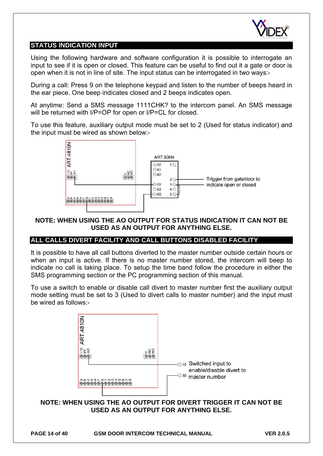

# **STATUS INDICATION INPUT**

Using the following hardware and software configuration it is possible to interrogate an input to see if it is open or closed. This feature can be useful to find out it a gate or door is open when it is not in line of site. The input status can be interrogated in two ways:-

During a call: Press 9 on the telephone keypad and listen to the number of beeps heard in the ear piece. One beep indicates closed and 2 beeps indicates open.

At anytime: Send a SMS message 1111CHK? to the intercom panel. An SMS message will be returned with I/P=OP for open or I/P=CL for closed.

To use this feature, auxiliary output mode must be set to 2 (Used for status indicator) and the input must be wired as shown below:-



# **NOTE: WHEN USING THE AO OUTPUT FOR STATUS INDICATION IT CAN NOT BE USED AS AN OUTPUT FOR ANYTHING ELSE.**

# **ALL CALLS DIVERT FACILITY AND CALL BUTTONS DISABLED FACILITY**

It is possible to have all call buttons diverted to the master number outside certain hours or when an input is active. If there is no master number stored, the intercom will beep to indicate no call is taking place. To setup the time band follow the procedure in either the SMS programming section or the PC programming section of this manual.

To use a switch to enable or disable call divert to master number first the auxiliary output mode setting must be set to 3 (Used to divert calls to master number) and the input must be wired as follows:-



# **NOTE: WHEN USING THE AO OUTPUT FOR DIVERT TRIGGER IT CAN NOT BE USED AS AN OUTPUT FOR ANYTHING ELSE.**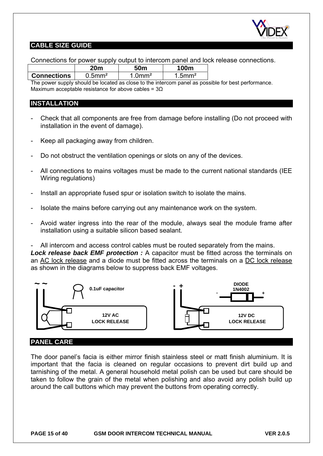

# **CABLE SIZE GUIDE**

Connections for power supply output to intercom panel and lock release connections.

|                    | 20m           | 50m            | 100m            |
|--------------------|---------------|----------------|-----------------|
| <b>Connections</b> | $0.5$ mm $^2$ | 0 <sup>2</sup> | $5 \text{mm}^2$ |

The power supply should be located as close to the intercom panel as possible for best performance. Maximum acceptable resistance for above cables =  $3\Omega$ 

# **INSTALLATION**

- Check that all components are free from damage before installing (Do not proceed with installation in the event of damage).
- Keep all packaging away from children.
- Do not obstruct the ventilation openings or slots on any of the devices.
- All connections to mains voltages must be made to the current national standards (IEE Wiring regulations)
- Install an appropriate fused spur or isolation switch to isolate the mains.
- Isolate the mains before carrying out any maintenance work on the system.
- Avoid water ingress into the rear of the module, always seal the module frame after installation using a suitable silicon based sealant.

All intercom and access control cables must be routed separately from the mains. **Lock release back EMF protection**: A capacitor must be fitted across the terminals on an AC lock release and a diode must be fitted across the terminals on a DC lock release as shown in the diagrams below to suppress back EMF voltages.



# **PANEL CARE**

The door panel's facia is either mirror finish stainless steel or matt finish aluminium. It is important that the facia is cleaned on regular occasions to prevent dirt build up and tarnishing of the metal. A general household metal polish can be used but care should be taken to follow the grain of the metal when polishing and also avoid any polish build up around the call buttons which may prevent the buttons from operating correctly.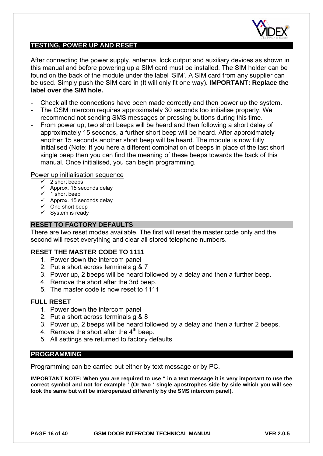

## **TESTING, POWER UP AND RESET**

After connecting the power supply, antenna, lock output and auxiliary devices as shown in this manual and before powering up a SIM card must be installed. The SIM holder can be found on the back of the module under the label 'SIM'. A SIM card from any supplier can be used. Simply push the SIM card in (It will only fit one way). **IMPORTANT: Replace the label over the SIM hole.** 

- Check all the connections have been made correctly and then power up the system.
- The GSM intercom requires approximately 30 seconds too initialise properly. We recommend not sending SMS messages or pressing buttons during this time.
- From power up; two short beeps will be heard and then following a short delay of approximately 15 seconds, a further short beep will be heard. After approximately another 15 seconds another short beep will be heard. The module is now fully initialised (Note: If you here a different combination of beeps in place of the last short single beep then you can find the meaning of these beeps towards the back of this manual. Once initialised, you can begin programming.

#### Power up initialisation sequence

- 2 short beeps
- $\checkmark$  Approx. 15 seconds delay
- $\checkmark$  1 short beep
- $\checkmark$  Approx. 15 seconds delay
- $\checkmark$  One short beep
- $\checkmark$  System is ready

## **RESET TO FACTORY DEFAULTS**

There are two reset modes available. The first will reset the master code only and the second will reset everything and clear all stored telephone numbers.

#### **RESET THE MASTER CODE TO 1111**

- 1. Power down the intercom panel
- 2. Put a short across terminals g & 7
- 3. Power up, 2 beeps will be heard followed by a delay and then a further beep.
- 4. Remove the short after the 3rd beep.
- 5. The master code is now reset to 1111

#### **FULL RESET**

- 1. Power down the intercom panel
- 2. Put a short across terminals g & 8
- 3. Power up, 2 beeps will be heard followed by a delay and then a further 2 beeps.
- 4. Remove the short after the  $4<sup>th</sup>$  beep.
- 5. All settings are returned to factory defaults

#### **PROGRAMMING**

Programming can be carried out either by text message or by PC.

**IMPORTANT NOTE: When you are required to use " in a text message it is very important to use the correct symbol and not for example ' (Or two ' single apostrophes side by side which you will see look the same but will be interoperated differently by the SMS intercom panel).**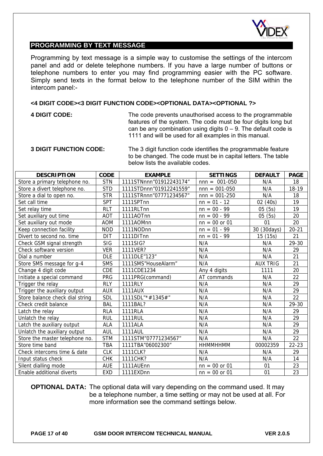

#### **PROGRAMMING BY TEXT MESSAGE**

Programming by text message is a simple way to customise the settings of the intercom panel and add or delete telephone numbers. If you have a large number of buttons or telephone numbers to enter you may find programming easier with the PC software. Simply send texts in the format below to the telephone number of the SIM within the intercom panel:-

#### **<4 DIGIT CODE><3 DIGIT FUNCTION CODE><OPTIONAL DATA><OPTIONAL ?>**

**4 DIGIT CODE:** The code prevents unauthorised access to the programmable features of the system. The code must be four digits long but can be any combination using digits  $0 - 9$ . The default code is 1111 and will be used for all examples in this manual.

**3 DIGIT FUNCTION CODE:** The 3 digit function code identifies the programmable feature to be changed. The code must be in capital letters. The table below lists the available codes.

| <b>DESCRIPTION</b>              | <b>CODE</b> | <b>EXAMPLE</b>          | <b>SETTINGS</b> | <b>DEFAULT</b>  | <b>PAGE</b>     |
|---------------------------------|-------------|-------------------------|-----------------|-----------------|-----------------|
| Store a primary telephone no.   | <b>STN</b>  | 1111STNnnn"01912243174" | $nnn = 001-050$ | N/A             | 18              |
| Store a divert telephone no.    | <b>STD</b>  | 1111STDnnn"01912241559" | $nnn = 001-050$ | N/A             | 18-19           |
| Store a dial to open no.        | <b>STR</b>  | 1111STRnnn"07771234567" | $nnn = 001-250$ | N/A             | 18              |
| Set call time                   | <b>SPT</b>  | 1111SPTnn               | $nn = 01 - 12$  | 02 (40s)        | 19              |
| Set relay time                  | <b>RLT</b>  | 1111RLTnn               | $nn = 00 - 99$  | 05(5s)          | 19              |
| Set auxiliary out time          | <b>AOT</b>  | 1111AOTnn               | $nn = 00 - 99$  | 05(5s)          | 20              |
| Set auxiliary out mode          | <b>AOM</b>  | 1111AOMnn               | $nn = 00$ or 01 | 01              | 20              |
| Keep connection facility        | <b>NOD</b>  | 1111NODnn               | $nn = 01 - 99$  | 30 (30days)     | $20 - 21$       |
| Divert to second no. time       | <b>DIT</b>  | 1111DITnn               | $nn = 01 - 99$  | 15(15s)         | 21              |
| Check GSM signal strength       | <b>SIG</b>  | 1111SIG?                | N/A             | N/A             | 29-30           |
| Check software version          | <b>VER</b>  | 1111VER?                | N/A             | N/A             | 29              |
| Dial a number                   | <b>DLE</b>  | 1111DLE"123"            | N/A             | N/A             | 21              |
| Store SMS message for g-4       | <b>SMS</b>  | 1111SMS"HouseAlarm"     | N/A             | <b>AUX TRIG</b> | 21              |
| Change 4 digit code             | <b>CDE</b>  | 1111CDE1234             | Any 4 digits    | 1111            | 20              |
| Initiate a special command      | PRG         | 1111PRG(command)        | AT commands     | N/A             | 22              |
| Trigger the relay               | <b>RLY</b>  | 1111RLY                 | N/A             | N/A             | 29              |
| Trigger the auxiliary output    | <b>AUX</b>  | <b>1111AUX</b>          | N/A             | N/A             | 29              |
| Store balance check dial string | <b>SDL</b>  | 1111SDL"*#1345#"        | N/A             | N/A             | 22              |
| Check credit balance            | <b>BAL</b>  | 1111BAL?                | N/A             | N/A             | 29-30           |
| Latch the relay                 | <b>RLA</b>  | <b>1111RLA</b>          | N/A             | N/A             | 29              |
| Unlatch the relay               | <b>RUL</b>  | <b>1111RUL</b>          | N/A             | N/A             | 29              |
| Latch the auxiliary output      | <b>ALA</b>  | <b>1111ALA</b>          | N/A             | N/A             | 29              |
| Unlatch the auxiliary output    | <b>AUL</b>  | <b>1111AUL</b>          | N/A             | N/A             | 29              |
| Store the master telephone no.  | <b>STM</b>  | 1111STM"07771234567"    | N/A             | N/A             | 22              |
| Store time band                 | <b>TBA</b>  | 1111TBA"06002300"       | HHMMHHMM        | 00002359        | $22 - 23$       |
| Check intercoms time & date     | <b>CLK</b>  | 1111CLK?                | N/A             | N/A             | 29              |
| Input status check              | <b>CHK</b>  | 1111CHK?                | N/A             | N/A             | 14              |
| Silent dialling mode            | <b>AUE</b>  | 1111AUEnn               | $nn = 00$ or 01 | 01              | 23              |
| Enable additional diverts       | <b>EXD</b>  | 1111EXDnn               | $nn = 00$ or 01 | 01              | $\overline{23}$ |

# **OPTIONAL DATA:** The optional data will vary depending on the command used. It may be a telephone number, a time setting or may not be used at all. For more information see the command settings below.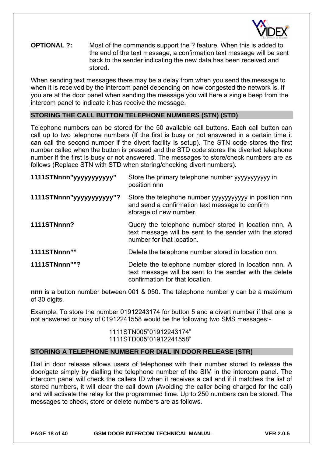

**OPTIONAL ?:** Most of the commands support the ? feature. When this is added to the end of the text message, a confirmation text message will be sent back to the sender indicating the new data has been received and stored.

When sending text messages there may be a delay from when you send the message to when it is received by the intercom panel depending on how congested the network is. If you are at the door panel when sending the message you will here a single beep from the intercom panel to indicate it has receive the message.

# **STORING THE CALL BUTTON TELEPHONE NUMBERS (STN) (STD)**

Telephone numbers can be stored for the 50 available call buttons. Each call button can call up to two telephone numbers (If the first is busy or not answered in a certain time it can call the second number if the divert facility is setup). The STN code stores the first number called when the button is pressed and the STD code stores the diverted telephone number if the first is busy or not answered. The messages to store/check numbers are as follows (Replace STN with STD when storing/checking divert numbers).

| 1111STNnnn"yyyyyyyyyy"  | Store the primary telephone number yyyyyyyyyyy in<br>position nnn                                                                                   |
|-------------------------|-----------------------------------------------------------------------------------------------------------------------------------------------------|
| 1111STNnnn"yyyyyyyyyy"? | Store the telephone number yyvyyyyyyyy in position nnn<br>and send a confirmation text message to confirm<br>storage of new number.                 |
| <b>1111STNnnn?</b>      | Query the telephone number stored in location nnn. A<br>text message will be sent to the sender with the stored<br>number for that location.        |
| <b>1111STNnnn</b> ""    | Delete the telephone number stored in location nnn.                                                                                                 |
| 1111STNnnn""?           | Delete the telephone number stored in location nnn. A<br>text message will be sent to the sender with the delete<br>confirmation for that location. |

**nnn** is a button number between 001 & 050. The telephone number **y** can be a maximum of 30 digits.

Example: To store the number 01912243174 for button 5 and a divert number if that one is not answered or busy of 01912241558 would be the following two SMS messages:-

> 1111STN005"01912243174" 1111STD005"01912241558"

# **STORING A TELEPHONE NUMBER FOR DIAL IN DOOR RELEASE (STR)**

Dial in door release allows users of telephones with their number stored to release the door/gate simply by dialling the telephone number of the SIM in the intercom panel. The intercom panel will check the callers ID when it receives a call and if it matches the list of stored numbers, it will clear the call down (Avoiding the caller being charged for the call) and will activate the relay for the programmed time. Up to 250 numbers can be stored. The messages to check, store or delete numbers are as follows.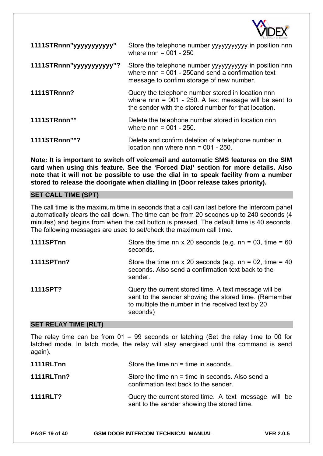

| 1111STRnnn"yyyyyyyyyy"  | Store the telephone number yyyyyyyyyy in position nnn<br>where $nnn = 001 - 250$                                                                                      |
|-------------------------|-----------------------------------------------------------------------------------------------------------------------------------------------------------------------|
| 1111STRnnn"yyyyyyyyyy"? | Store the telephone number yyyyyyyyyy in position nnn<br>where $nnn = 001 - 250$ and send a confirmation text<br>message to confirm storage of new number.            |
| 1111STRnnn?             | Query the telephone number stored in location nnn<br>where $nnn = 001 - 250$ . A text message will be sent to<br>the sender with the stored number for that location. |
| <b>1111STRnnn</b> ""    | Delete the telephone number stored in location nnn<br>where $nnn = 001 - 250$ .                                                                                       |
| 1111STRnnn""?           | Delete and confirm deletion of a telephone number in<br>location nnn where nnn = $001 - 250$ .                                                                        |

**Note: It is important to switch off voicemail and automatic SMS features on the SIM card when using this feature. See the 'Forced Dial' section for more details. Also note that it will not be possible to use the dial in to speak facility from a number stored to release the door/gate when dialling in (Door release takes priority).** 

#### **SET CALL TIME (SPT)**

The call time is the maximum time in seconds that a call can last before the intercom panel automatically clears the call down. The time can be from 20 seconds up to 240 seconds (4 minutes) and begins from when the call button is pressed. The default time is 40 seconds. The following messages are used to set/check the maximum call time.

| 1111SPTnn       | Store the time nn x 20 seconds (e.g. $nn = 03$ , time = 60<br>seconds.                                                                                                          |
|-----------------|---------------------------------------------------------------------------------------------------------------------------------------------------------------------------------|
| 1111SPTnn?      | Store the time nn x 20 seconds (e.g. nn = 02, time = 40<br>seconds. Also send a confirmation text back to the<br>sender.                                                        |
| <b>1111SPT?</b> | Query the current stored time. A text message will be<br>sent to the sender showing the stored time. (Remember<br>to multiple the number in the received text by 20<br>seconds) |

## **SET RELAY TIME (RLT)**

The relay time can be from 01 – 99 seconds or latching (Set the relay time to 00 for latched mode. In latch mode, the relay will stay energised until the command is send again).

| 1111RLTnn         | Store the time nn = time in seconds.                                                                 |
|-------------------|------------------------------------------------------------------------------------------------------|
| <b>1111RLTnn?</b> | Store the time nn = time in seconds. Also send a<br>confirmation text back to the sender.            |
| <b>1111RLT?</b>   | Query the current stored time. A text message will be<br>sent to the sender showing the stored time. |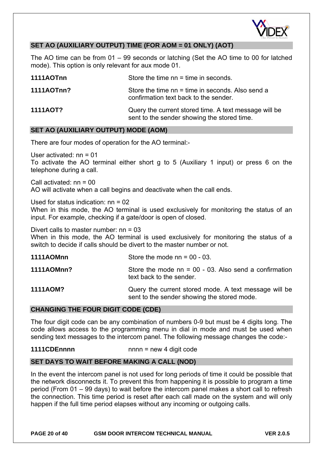

# **SET AO (AUXILIARY OUTPUT) TIME (FOR AOM = 01 ONLY) (AOT)**

The AO time can be from 01 – 99 seconds or latching (Set the AO time to 00 for latched mode). This option is only relevant for aux mode 01.

**1111AOTnn** Store the time nn = time in seconds.

**1111AOTnn?** Store the time nn = time in seconds. Also send a confirmation text back to the sender.

**1111AOT?** Cuery the current stored time. A text message will be sent to the sender showing the stored time.

#### **SET AO (AUXILIARY OUTPUT) MODE (AOM)**

There are four modes of operation for the AO terminal:-

User activated: nn = 01 To activate the AO terminal either short g to 5 (Auxiliary 1 input) or press 6 on the telephone during a call.

Call activated: nn = 00 AO will activate when a call begins and deactivate when the call ends.

Used for status indication: nn = 02

When in this mode, the AO terminal is used exclusively for monitoring the status of an input. For example, checking if a gate/door is open of closed.

Divert calls to master number:  $nn = 0.3$ 

When in this mode, the AO terminal is used exclusively for monitoring the status of a switch to decide if calls should be divert to the master number or not.

| 1111AOMnn       | Store the mode $nn = 00 - 03$ .                                                                      |
|-----------------|------------------------------------------------------------------------------------------------------|
| 1111AOMnn?      | Store the mode $nn = 00 - 03$ . Also send a confirmation<br>text back to the sender.                 |
| <b>1111AOM?</b> | Query the current stored mode. A text message will be<br>sent to the sender showing the stored mode. |

#### **CHANGING THE FOUR DIGIT CODE (CDE)**

The four digit code can be any combination of numbers 0-9 but must be 4 digits long. The code allows access to the programming menu in dial in mode and must be used when sending text messages to the intercom panel. The following message changes the code:-

#### **1111CDEnnnn nnnn** = new 4 digit code

# **SET DAYS TO WAIT BEFORE MAKING A CALL (NOD)**

In the event the intercom panel is not used for long periods of time it could be possible that the network disconnects it. To prevent this from happening it is possible to program a time period (From 01 – 99 days) to wait before the intercom panel makes a short call to refresh the connection. This time period is reset after each call made on the system and will only happen if the full time period elapses without any incoming or outgoing calls.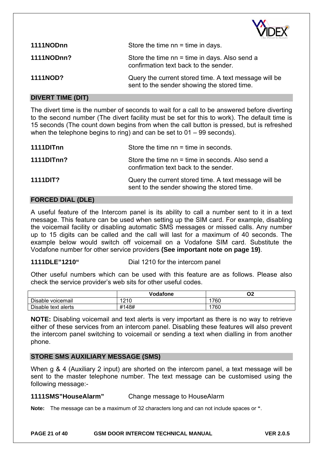

| 1111NODnn         | Store the time $nn = time$ in days.                                                                  |
|-------------------|------------------------------------------------------------------------------------------------------|
| <b>1111NODnn?</b> | Store the time nn = time in days. Also send a<br>confirmation text back to the sender.               |
| 1111NOD?          | Query the current stored time. A text message will be<br>sent to the sender showing the stored time. |

#### **DIVERT TIME (DIT)**

The divert time is the number of seconds to wait for a call to be answered before diverting to the second number (The divert facility must be set for this to work). The default time is 15 seconds (The count down begins from when the call button is pressed, but is refreshed when the telephone begins to ring) and can be set to 01 – 99 seconds).

| 1111DITnn       | Store the time $nn = time$ in seconds.                                                               |
|-----------------|------------------------------------------------------------------------------------------------------|
| 1111DITnn?      | Store the time nn = time in seconds. Also send a<br>confirmation text back to the sender.            |
| <b>1111DIT?</b> | Query the current stored time. A text message will be<br>sent to the sender showing the stored time. |

## **FORCED DIAL (DLE)**

A useful feature of the Intercom panel is its ability to call a number sent to it in a text message. This feature can be used when setting up the SIM card. For example, disabling the voicemail facility or disabling automatic SMS messages or missed calls. Any number up to 15 digits can be called and the call will last for a maximum of 40 seconds. The example below would switch off voicemail on a Vodafone SIM card. Substitute the Vodafone number for other service providers **(See important note on page 19)**.

**1111DLE"1210"** Dial 1210 for the intercom panel

Other useful numbers which can be used with this feature are as follows. Please also check the service provider's web sits for other useful codes.

|                     | <b>Vodafone</b> | Ο2   |
|---------------------|-----------------|------|
| Disable voicemail   | 1210            | 1760 |
| Disable text alerts | #148#           | 1760 |

**NOTE:** Disabling voicemail and text alerts is very important as there is no way to retrieve either of these services from an intercom panel. Disabling these features will also prevent the intercom panel switching to voicemail or sending a text when dialling in from another phone.

#### **STORE SMS AUXILIARY MESSAGE (SMS)**

When g & 4 (Auxiliary 2 input) are shorted on the intercom panel, a text message will be sent to the master telephone number. The text message can be customised using the following message:-

#### **1111SMS"HouseAlarm"** Change message to HouseAlarm

**Note:** The message can be a maximum of 32 characters long and can not include spaces or **"**.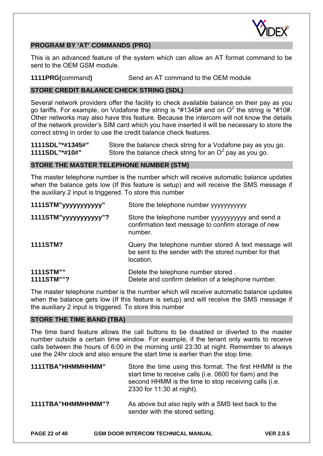

## **PROGRAM BY 'AT' COMMANDS (PRG)**

This is an advanced feature of the system which can allow an AT format command to be sent to the OEM GSM module.

#### **1111PRG(**command**)** Send an AT command to the OEM module

## **STORE CREDIT BALANCE CHECK STRING (SDL)**

Several network providers offer the facility to check available balance on their pay as you go tariffs. For example, on Vodafone the string is  $*#1345#$  and on O<sup>2</sup> the string is  $*#10#$ . Other networks may also have this feature. Because the intercom will not know the details of the network provider's SIM card which you have inserted it will be necessary to store the correct string in order to use the credit balance check features.

**1111SDL"\*#1345#"** Store the balance check string for a Vodafone pay as you go. **1111SDL**"\*#10#" Store the balance check string for an  $O^2$  pay as you go.

#### **STORE THE MASTER TELEPHONE NUMBER (STM)**

The master telephone number is the number which will receive automatic balance updates when the balance gets low (If this feature is setup) and will receive the SMS message if the auxiliary 2 input is triggered. To store this number

| 1111STM"yyyyyyyyyy"     | Store the telephone number yyyyyyyyyy                                                                                       |
|-------------------------|-----------------------------------------------------------------------------------------------------------------------------|
| 1111STM"yyyyyyyyyy"?    | Store the telephone number yyyyyyyyyy and send a<br>confirmation text message to confirm storage of new<br>number.          |
| 1111STM?                | Query the telephone number stored A text message will<br>be sent to the sender with the stored number for that<br>location. |
| 1111STM""<br>1111STM""? | Delete the telephone number stored.<br>Delete and confirm deletion of a telephone number.                                   |

The master telephone number is the number which will receive automatic balance updates when the balance gets low (If this feature is setup) and will receive the SMS message if the auxiliary 2 input is triggered. To store this number

#### **STORE THE TIME BAND (TBA)**

The time band feature allows the call buttons to be disabled or diverted to the master number outside a certain time window. For example, if the tenant only wants to receive calls between the hours of 6:00 in the morning until 23:30 at night. Remember to always use the 24hr clock and also ensure the start time is earlier than the stop time.

| 1111TBA"HHMMHHMM"  | Store the time using this format. The first HHMM is the<br>start time to receive calls (i.e. 0600 for 6am) and the<br>second HHMM is the time to stop receiving calls ( <i>i.e.</i><br>2330 for 11:30 at night). |
|--------------------|------------------------------------------------------------------------------------------------------------------------------------------------------------------------------------------------------------------|
| 1111TBA"HHMMHHMM"? | As above but also reply with a SMS text back to the                                                                                                                                                              |

sender with the stored setting.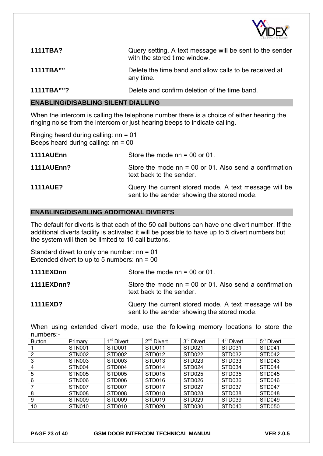

| 1111TBA?         | Query setting, A text message will be sent to the sender<br>with the stored time window. |
|------------------|------------------------------------------------------------------------------------------|
| <b>1111TBA""</b> | Delete the time band and allow calls to be received at<br>any time.                      |
| 1111TBA""?       | Delete and confirm deletion of the time band.                                            |

#### **ENABLING/DISABLING SILENT DIALLING**

When the intercom is calling the telephone number there is a choice of either hearing the ringing noise from the intercom or just hearing beeps to indicate calling.

Ringing heard during calling: nn = 01 Beeps heard during calling: nn = 00

| 1111AUEnn         | Store the mode $nn = 00$ or 01.                                                                      |
|-------------------|------------------------------------------------------------------------------------------------------|
| <b>1111AUEnn?</b> | Store the mode $nn = 00$ or 01. Also send a confirmation<br>text back to the sender.                 |
| <b>1111AUE?</b>   | Query the current stored mode. A text message will be<br>sent to the sender showing the stored mode. |

## **ENABLING/DISABLING ADDITIONAL DIVERTS**

The default for diverts is that each of the 50 call buttons can have one divert number. If the additional diverts facility is activated it will be possible to have up to 5 divert numbers but the system will then be limited to 10 call buttons.

Standard divert to only one number: nn = 01 Extended divert to up to 5 numbers:  $nn = 00$ 

**1111EXDnn** Store the mode nn = 00 or 01.

**1111EXDnn?** Store the mode nn = 00 or 01. Also send a confirmation text back to the sender.

**1111EXD? Query the current stored mode. A text message will be** sent to the sender showing the stored mode.

When using extended divert mode, use the following memory locations to store the numbers:-

| <b>Button</b> | Primary       | ⊿st<br><b>Divert</b> | $2nd$ Divert       | $3rd$ Divert       | 4 <sup>th</sup><br><b>Divert</b> | $\overline{5}^{\text{th}}$ Divert |
|---------------|---------------|----------------------|--------------------|--------------------|----------------------------------|-----------------------------------|
|               | <b>STN001</b> | STD <sub>001</sub>   | <b>STD011</b>      | STD <sub>021</sub> | <b>STD031</b>                    | STD041                            |
|               | <b>STN002</b> | STD002               | STD012             | STD <sub>022</sub> | STD <sub>032</sub>               | STD <sub>042</sub>                |
| 3             | STN003        | STD003               | STD <sub>013</sub> | STD <sub>023</sub> | STD033                           | STD <sub>043</sub>                |
| 4             | <b>STN004</b> | STD <sub>004</sub>   | STD014             | STD <sub>024</sub> | STD034                           | STD044                            |
| 5             | <b>STN005</b> | STD005               | STD015             | STD <sub>025</sub> | <b>STD035</b>                    | STD <sub>045</sub>                |
| 6             | STN006        | STD006               | STD016             | STD <sub>026</sub> | STD <sub>036</sub>               | STD046                            |
|               | STN007        | STD <sub>007</sub>   | STD <sub>017</sub> | STD <sub>027</sub> | STD037                           | STD <sub>047</sub>                |
| 8             | <b>STN008</b> | STD008               | STD018             | STD <sub>028</sub> | STD038                           | STD <sub>048</sub>                |
| 9             | STN009        | STD009               | STD019             | STD <sub>029</sub> | STD <sub>039</sub>               | STD049                            |
| 10            | <b>STN010</b> | STD010               | STD <sub>020</sub> | STD <sub>030</sub> | STD <sub>040</sub>               | STD <sub>050</sub>                |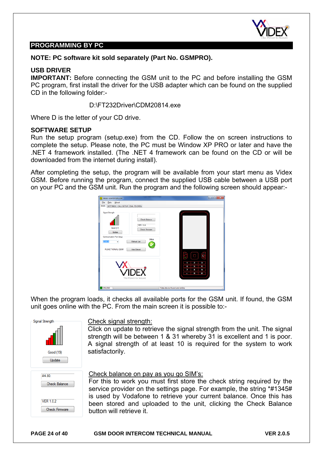

#### **PROGRAMMING BY PC**

# **NOTE: PC software kit sold separately (Part No. GSMPRO).**

#### **USB DRIVER**

**IMPORTANT:** Before connecting the GSM unit to the PC and before installing the GSM PC program, first install the driver for the USB adapter which can be found on the supplied CD in the following folder:-

#### D:\FT232Driver\CDM20814.exe

Where D is the letter of your CD drive.

#### **SOFTWARE SETUP**

Run the setup program (setup.exe) from the CD. Follow the on screen instructions to complete the setup. Please note, the PC must be Window XP PRO or later and have the .NET 4 framework installed. (The .NET 4 framework can be found on the CD or will be downloaded from the internet during install).

After completing the setup, the program will be available from your start menu as Videx GSM. Before running the program, connect the supplied USB cable between a USB port on your PC and the GSM unit. Run the program and the following screen should appear:-



When the program loads, it checks all available ports for the GSM unit. If found, the GSM unit goes online with the PC. From the main screen it is possible to:-



#### Check signal strength:

Click on update to retrieve the signal strength from the unit. The signal strength will be between 1 & 31 whereby 31 is excellent and 1 is poor. A signal strength of at least 10 is required for the system to work satisfactorily.

#### Check balance on pay as you go SIM's:

For this to work you must first store the check string required by the service provider on the settings page. For example, the string \*#1345# is used by Vodafone to retrieve your current balance. Once this has been stored and uploaded to the unit, clicking the Check Balance button will retrieve it.

**PAGE 24 of 40 GSM DOOR INTERCOM TECHNICAL MANUAL VER 2.0.5**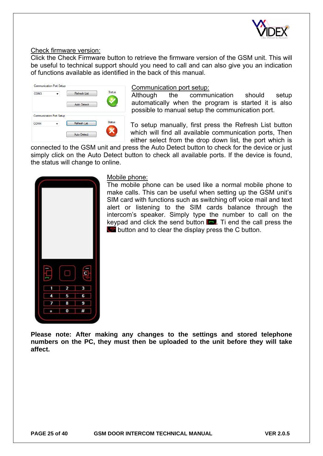

#### Check firmware version:

Click the Check Firmware button to retrieve the firmware version of the GSM unit. This will be useful to technical support should you need to call and can also give you an indication of functions available as identified in the back of this manual.

| COM <sub>3</sub>         | Refresh List       | Status        |
|--------------------------|--------------------|---------------|
|                          | <b>Auto Detect</b> |               |
| Communication Port Setup |                    |               |
| COM4                     | Refresh List       | <b>Status</b> |
|                          | <b>Auto Detect</b> |               |

#### Communication port setup:

Although the communication should setup automatically when the program is started it is also possible to manual setup the communication port.

To setup manually, first press the Refresh List button which will find all available communication ports, Then either select from the drop down list, the port which is

connected to the GSM unit and press the Auto Detect button to check for the device or just simply click on the Auto Detect button to check all available ports. If the device is found, the status will change to online.



#### Mobile phone:

The mobile phone can be used like a normal mobile phone to make calls. This can be useful when setting up the GSM unit's SIM card with functions such as switching off voice mail and text alert or listening to the SIM cards balance through the intercom's speaker. Simply type the number to call on the keypad and click the send button **To**. Ti end the call press the **Button and to clear the display press the C button.** 

**Please note: After making any changes to the settings and stored telephone numbers on the PC, they must then be uploaded to the unit before they will take affect.**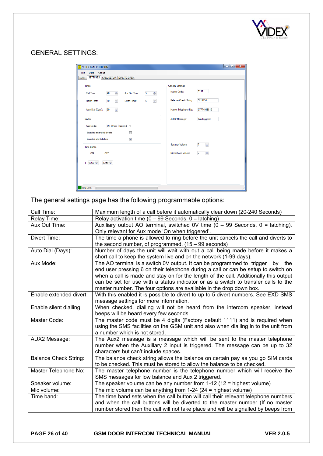

# GENERAL SETTINGS:

| <b>WE VIDEX GSM INTERCOM</b>                                                                    |                                         | $\mathbf{x}$<br>$-10$ |
|-------------------------------------------------------------------------------------------------|-----------------------------------------|-----------------------|
| <b>Eile</b><br>Data About                                                                       |                                         |                       |
| SETTINGS CALL SETUP   DIAL TO OPEN<br><b>MAIN</b>                                               |                                         |                       |
| <b>Times</b>                                                                                    | <b>General Settings</b>                 |                       |
| $\frac{\blacktriangle}{\blacktriangledown}$<br>40<br>$\div$<br>5<br>Aux Out Time:<br>Call Time: | 1111<br>Master Code:                    |                       |
| 득<br>$\Rightarrow$<br>6<br>10<br>Relay Time:<br><b>Divert Time:</b>                             | <b>Balance Check String:</b><br>*#1345# |                       |
| 슥<br>30<br>Auto Dial (Days):                                                                    | Master Telephone No:                    | 07774949815           |
| Modes                                                                                           | AUX2 Message:                           | <b>AuxTriggered</b>   |
| On When Triggered v<br>Aux Mode:                                                                |                                         |                       |
| <b>Enabled extended diverts</b><br>П                                                            |                                         |                       |
| V<br>Enabled silent dialling                                                                    |                                         |                       |
| <b>Time Bands</b>                                                                               | Speaker Volume<br>7                     | $\Rightarrow$         |
| ON<br>OFF                                                                                       | Microphone Volume<br>7                  | $\div$                |
| 100:00<br>23:59 →                                                                               |                                         |                       |
|                                                                                                 |                                         |                       |
| <b>ON LINE</b>                                                                                  |                                         | лi                    |

The general settings page has the following programmable options:

| Call Time:                   | Maximum length of a call before it automatically clear down (20-240 Seconds)         |
|------------------------------|--------------------------------------------------------------------------------------|
| Relay Time:                  | Relay activation time $(0 - 99$ Seconds, $0 =$ latching)                             |
| Aux Out Time:                | Auxiliary output AO terminal, switched 0V time $(0 - 99$ Seconds, $0 =$ latching).   |
|                              | Only relevant for Aux mode 'On when triggered'.                                      |
| Divert Time:                 | The time a phone is allowed to ring before the unit cancels the call and diverts to  |
|                              | the second number, of programmed. $(15 - 99$ seconds)                                |
| Auto Dial (Days):            | Number of days the unit will wait with out a call being made before it makes a       |
|                              | short call to keep the system live and on the network (1-99 days).                   |
| Aux Mode:                    | The AO terminal is a switch 0V output. It can be programmed to trigger<br>the<br>bv  |
|                              | end user pressing 6 on their telephone during a call or can be setup to switch on    |
|                              | when a call is made and stay on for the length of the call. Additionally this output |
|                              | can be set for use with a status indicator or as a switch to transfer calls to the   |
|                              | master number. The four options are available in the drop down box.                  |
| Enable extended divert:      | With this enabled it is possible to divert to up to 5 divert numbers. See EXD SMS    |
|                              | message settings for more information.                                               |
| Enable silent dialling       | When checked, dialling will not be heard from the intercom speaker, instead          |
|                              | beeps will be heard every few seconds.                                               |
| Master Code:                 | The master code must be 4 digits (Factory default 1111) and is required when         |
|                              | using the SMS facilities on the GSM unit and also when dialling in to the unit from  |
|                              | a number which is not stored.                                                        |
| AUX2 Message:                | The Aux2 message is a message which will be sent to the master telephone             |
|                              | number when the Auxillary 2 input is triggered. The message can be up to 32          |
|                              | characters but can't include spaces.                                                 |
| <b>Balance Check String:</b> | The balance check string allows the balance on certain pay as you go SIM cards       |
|                              | to be checked. This must be stored to allow the balance to be checked.               |
| Master Telephone No:         | The master telephone number is the telephone number which will receive the           |
|                              | SMS messages for low balance and Aux 2 triggered.                                    |
| Speaker volume:              | The speaker volume can be any number from $1-12$ (12 = highest volume)               |
| Mic volume:                  | The mic volume can be anything from $1-24$ (24 = highest volume)                     |
| Time band:                   | The time band sets when the call button will call their relevant telephone numbers   |
|                              | and when the call buttons will be diverted to the master number (If no master        |
|                              | number stored then the call will not take place and will be signalled by beeps from  |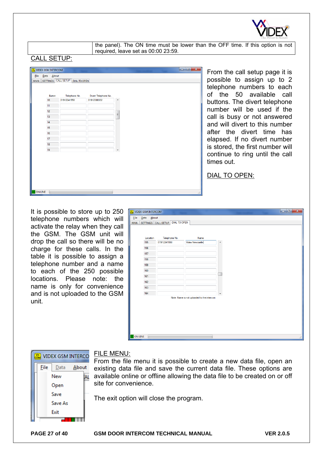

the panel). The ON time must be lower than the OFF time. If this option is not required, leave set as 00:00 23:59.

# CALL SETUP:

| Button           | Telephone No. | Divert Telephone No. |                          |
|------------------|---------------|----------------------|--------------------------|
| 10 <sub>10</sub> | 01912241558   | 01912388302          | $\blacktriangle$         |
| 11               |               |                      |                          |
| 12               |               |                      |                          |
| 13               |               |                      | Ξ                        |
| 14               |               |                      |                          |
| 15               |               |                      |                          |
| 16               |               |                      |                          |
| 17               |               |                      |                          |
| 18               |               |                      |                          |
| 19               |               |                      | $\overline{\phantom{a}}$ |
|                  |               |                      |                          |
|                  |               |                      |                          |
|                  |               |                      |                          |
|                  |               |                      |                          |

From the call setup page it is possible to assign up to 2 telephone numbers to each of the 50 available call buttons. The divert telephone number will be used if the call is busy or not answered and will divert to this number after the divert time has elapsed. If no divert number is stored, the first number will continue to ring until the call times out.

DIAL TO OPEN:

It is possible to store up to 250 telephone numbers which will activate the relay when they call the GSM. The GSM unit will drop the call so there will be no charge for these calls. In the table it is possible to assign a telephone number and a name to each of the 250 possible locations. Please note: the name is only for convenience and is not uploaded to the GSM unit.

| $\overline{\mathbf{x}}$<br>$\blacksquare$<br>VIDEX GSM INTERCOM |            |                                  |                                            |   |    |
|-----------------------------------------------------------------|------------|----------------------------------|--------------------------------------------|---|----|
| <b>Eile</b>                                                     | Data About |                                  |                                            |   |    |
| <b>MAIN</b>                                                     |            | SETTINGS CALL SETUP DIAL TO OPEN |                                            |   |    |
|                                                                 |            |                                  |                                            |   |    |
|                                                                 |            |                                  |                                            |   |    |
|                                                                 | Location   | Telephone No.                    | Name                                       |   |    |
|                                                                 | 155        | 01912241558                      | <b>Videx Newcastle</b>                     | ۸ |    |
|                                                                 | 156        |                                  |                                            |   |    |
|                                                                 | 157        |                                  |                                            |   |    |
|                                                                 | 158        |                                  |                                            |   |    |
|                                                                 | 159        |                                  |                                            |   |    |
|                                                                 | 160        |                                  |                                            |   |    |
|                                                                 | 161        |                                  |                                            |   |    |
|                                                                 | 162        |                                  |                                            |   |    |
|                                                                 | 163        |                                  |                                            |   |    |
|                                                                 | 164        |                                  |                                            | ٠ |    |
|                                                                 |            |                                  | Note: Name is not uploaded to the intercom |   |    |
|                                                                 |            |                                  |                                            |   |    |
|                                                                 |            |                                  |                                            |   |    |
|                                                                 |            |                                  |                                            |   |    |
|                                                                 |            |                                  |                                            |   |    |
|                                                                 |            |                                  |                                            |   |    |
|                                                                 |            |                                  |                                            |   |    |
|                                                                 |            |                                  |                                            |   |    |
| <b>ON LINE</b>                                                  |            |                                  |                                            |   | J. |



# FILE MENU:

From the file menu it is possible to create a new data file, open an existing data file and save the current data file. These options are available online or offline allowing the data file to be created on or off site for convenience.

The exit option will close the program.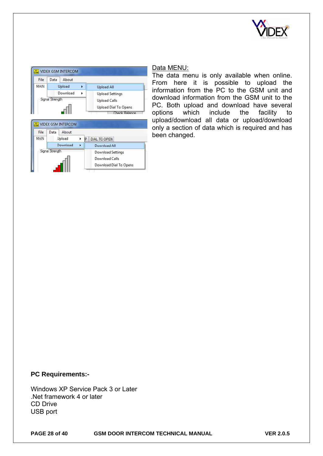



#### Data MENU:

The data menu is only available when online. From here it is possible to upload the information from the PC to the GSM unit and download information from the GSM unit to the PC. Both upload and download have several options which include the facility to upload/download all data or upload/download only a section of data which is required and has been changed.

#### **PC Requirements:-**

Windows XP Service Pack 3 or Later .Net framework 4 or later CD Drive USB port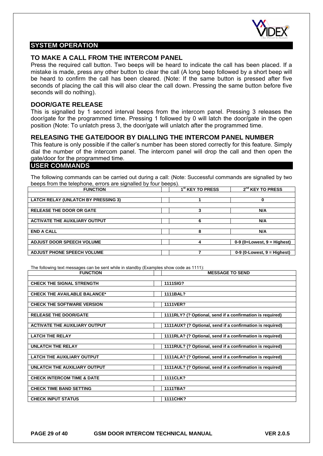

## **SYSTEM OPERATION**

## **TO MAKE A CALL FROM THE INTERCOM PANEL**

Press the required call button. Two beeps will be heard to indicate the call has been placed. If a mistake is made, press any other button to clear the call (A long beep followed by a short beep will be heard to confirm the call has been cleared. (Note: If the same button is pressed after five seconds of placing the call this will also clear the call down. Pressing the same button before five seconds will do nothing).

#### **DOOR/GATE RELEASE**

This is signalled by 1 second interval beeps from the intercom panel. Pressing 3 releases the door/gate for the programmed time. Pressing 1 followed by 0 will latch the door/gate in the open position (Note: To unlatch press 3, the door/gate will unlatch after the programmed time.

#### **RELEASING THE GATE/DOOR BY DIALLING THE INTERCOM PANEL NUMBER**

This feature is only possible if the caller's number has been stored correctly for this feature. Simply dial the number of the intercom panel. The intercom panel will drop the call and then open the gate/door for the programmed time.

# **USER COMMANDS**

The following commands can be carried out during a call: (Note: Successful commands are signalled by two beeps from the telephone, errors are signalled by four beeps).

| <b>FUNCTION</b>                            | 1 <sup>st</sup> KEY TO PRESS | 2 <sup>nd</sup> KEY TO PRESS    |
|--------------------------------------------|------------------------------|---------------------------------|
|                                            |                              |                                 |
| <b>LATCH RELAY (UNLATCH BY PRESSING 3)</b> |                              |                                 |
|                                            |                              |                                 |
| <b>RELEASE THE DOOR OR GATE</b>            | 3                            | N/A                             |
|                                            |                              |                                 |
| <b>ACTIVATE THE AUXILIARY OUTPUT</b>       | 6                            | N/A                             |
|                                            |                              |                                 |
| <b>END A CALL</b>                          | 8                            | N/A                             |
|                                            |                              |                                 |
| <b>ADJUST DOOR SPEECH VOLUME</b>           |                              | $0-9$ (0=Lowest, 9 = Highest)   |
|                                            |                              |                                 |
| <b>ADJUST PHONE SPEECH VOLUME</b>          |                              | $0-9$ (0-Lowest, $9 =$ Highest) |

The following text messages can be sent while in standby (Examples show code as 1111):

| <b>FUNCTION</b>                       | <b>MESSAGE TO SEND</b>                                    |
|---------------------------------------|-----------------------------------------------------------|
|                                       |                                                           |
| <b>CHECK THE SIGNAL STRENGTH</b>      | 1111SIG?                                                  |
|                                       |                                                           |
| <b>CHECK THE AVAILABLE BALANCE*</b>   | 1111BAL?                                                  |
|                                       |                                                           |
| <b>CHECK THE SOFTWARE VERSION</b>     | 1111VER?                                                  |
|                                       |                                                           |
| <b>RELEASE THE DOOR/GATE</b>          | 1111RLY? (? Optional, send if a confirmation is required) |
|                                       |                                                           |
| <b>ACTIVATE THE AUXILIARY OUTPUT</b>  | 1111AUX? (? Optional, send if a confirmation is required) |
|                                       |                                                           |
| <b>LATCH THE RELAY</b>                | 1111RLA? (? Optional, send if a confirmation is required) |
|                                       |                                                           |
| <b>UNLATCH THE RELAY</b>              | 1111RUL? (? Optional, send if a confirmation is required) |
|                                       |                                                           |
| <b>LATCH THE AUXILIARY OUTPUT</b>     | 1111ALA? (? Optional, send if a confirmation is required) |
|                                       |                                                           |
| UNLATCH THE AUXILIARY OUTPUT          | 1111AUL? (? Optional, send if a confirmation is required) |
|                                       |                                                           |
| <b>CHECK INTERCOM TIME &amp; DATE</b> | <b>1111CLK?</b>                                           |
|                                       |                                                           |
| <b>CHECK TIME BAND SETTING</b>        | 1111TBA?                                                  |
|                                       |                                                           |
| <b>CHECK INPUT STATUS</b>             | <b>1111CHK?</b>                                           |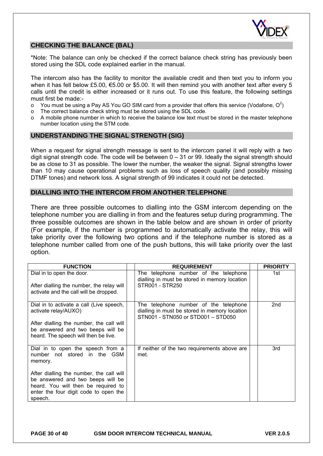

#### **CHECKING THE BALANCE (BAL)**

\*Note: The balance can only be checked if the correct balance check string has previously been stored using the SDL code explained earlier in the manual.

The intercom also has the facility to monitor the available credit and then text you to inform you when it has fell below £5.00, €5.00 or \$5.00. It will then remind you with another text after every 5 calls until the credit is either increased or it runs out. To use this feature, the following settings must first be made:-

- $\circ$  You must be using a Pay AS You GO SIM card from a provider that offers this service (Vodafone, O<sup>2</sup>)
- o The correct balance check string must be stored using the SDL code.
- $\circ$  A mobile phone number in which to receive the balance low text must be stored in the master telephone number location using the STM code.

#### **UNDERSTANDING THE SIGNAL STRENGTH (SIG)**

When a request for signal strength message is sent to the intercom panel it will reply with a two digit signal strength code. The code will be between  $0 - 31$  or 99. Ideally the signal strength should be as close to 31 as possible. The lower the number, the weaker the signal. Signal strengths lower than 10 may cause operational problems such as loss of speech quality (and possibly missing DTMF tones) and network loss. A signal strength of 99 indicates it could not be detected.

#### **DIALLING INTO THE INTERCOM FROM ANOTHER TELEPHONE**

There are three possible outcomes to dialling into the GSM intercom depending on the telephone number you are dialling in from and the features setup during programming. The three possible outcomes are shown in the table below and are shown in order of priority (For example, if the number is programmed to automatically activate the relay, this will take priority over the following two options and if the telephone number is stored as a telephone number called from one of the push buttons, this will take priority over the last option.

| <b>FUNCTION</b>                                                                                                                                                                                                                                          | <b>REQUIREMENT</b>                                                                                                           | <b>PRIORITY</b> |
|----------------------------------------------------------------------------------------------------------------------------------------------------------------------------------------------------------------------------------------------------------|------------------------------------------------------------------------------------------------------------------------------|-----------------|
| Dial in to open the door.<br>After dialling the number, the relay will<br>activate and the call will be dropped.                                                                                                                                         | The telephone number of the telephone<br>dialling in must be stored in memory location<br>STR001 - STR250                    | 1st             |
| Dial in to activate a call (Live speech,<br>activate relay/AUXO)<br>After dialling the number, the call will<br>be answered and two beeps will be<br>heard. The speech will then be live.                                                                | The telephone number of the telephone<br>dialling in must be stored in memory location<br>STN001 - STN050 or STD001 - STD050 | 2nd             |
| Dial in to open the speech from a<br>number not stored in the GSM<br>memory.<br>After dialling the number, the call will<br>be answered and two beeps will be<br>heard. You will then be required to<br>enter the four digit code to open the<br>speech. | If neither of the two requirements above are<br>met.                                                                         | 3rd             |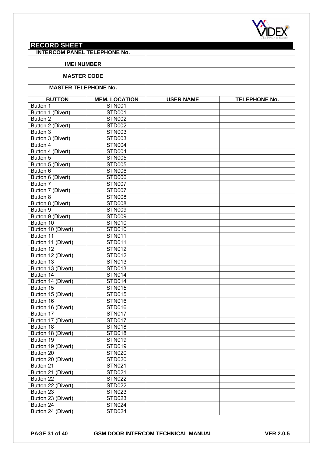

| <b>RECORD SHEET</b><br><b>INTERCOM PANEL TELEPHONE No.</b> |                      |                  |                      |  |
|------------------------------------------------------------|----------------------|------------------|----------------------|--|
|                                                            |                      |                  |                      |  |
| <b>IMEI NUMBER</b>                                         |                      |                  |                      |  |
|                                                            |                      |                  |                      |  |
| <b>MASTER CODE</b>                                         |                      |                  |                      |  |
|                                                            |                      |                  |                      |  |
| <b>MASTER TELEPHONE No.</b>                                |                      |                  |                      |  |
| <b>BUTTON</b>                                              | <b>MEM. LOCATION</b> | <b>USER NAME</b> | <b>TELEPHONE No.</b> |  |
| Button 1                                                   | <b>STN001</b>        |                  |                      |  |
| Button 1 (Divert)                                          | <b>STD001</b>        |                  |                      |  |
| Button 2                                                   | <b>STN002</b>        |                  |                      |  |
| Button 2 (Divert)                                          | <b>STD002</b>        |                  |                      |  |
| Button 3                                                   | <b>STN003</b>        |                  |                      |  |
| Button 3 (Divert)                                          | <b>STD003</b>        |                  |                      |  |
| Button 4                                                   | <b>STN004</b>        |                  |                      |  |
| Button 4 (Divert)                                          | <b>STD004</b>        |                  |                      |  |
| Button 5                                                   | <b>STN005</b>        |                  |                      |  |
| Button 5 (Divert)                                          | <b>STD005</b>        |                  |                      |  |
| Button 6                                                   | <b>STN006</b>        |                  |                      |  |
| Button 6 (Divert)                                          | STD006               |                  |                      |  |
| Button 7                                                   | <b>STN007</b>        |                  |                      |  |
| Button 7 (Divert)                                          | <b>STD007</b>        |                  |                      |  |
| Button 8                                                   | <b>STN008</b>        |                  |                      |  |
| Button 8 (Divert)                                          | <b>STD008</b>        |                  |                      |  |
| Button 9                                                   | <b>STN009</b>        |                  |                      |  |
| Button 9 (Divert)                                          | <b>STD009</b>        |                  |                      |  |
| Button 10                                                  | <b>STN010</b>        |                  |                      |  |
| Button 10 (Divert)                                         | <b>STD010</b>        |                  |                      |  |
| Button 11                                                  | <b>STN011</b>        |                  |                      |  |
| Button 11 (Divert)                                         | <b>STD011</b>        |                  |                      |  |
| Button 12                                                  | <b>STN012</b>        |                  |                      |  |
| Button 12 (Divert)                                         | <b>STD012</b>        |                  |                      |  |
| Button 13                                                  | <b>STN013</b>        |                  |                      |  |
| Button 13 (Divert)                                         | <b>STD013</b>        |                  |                      |  |
| Button 14                                                  | <b>STN014</b>        |                  |                      |  |
| Button 14 (Divert)                                         | <b>STD014</b>        |                  |                      |  |
| Button 15                                                  | <b>STN015</b>        |                  |                      |  |
| Button 15 (Divert)                                         | <b>STD015</b>        |                  |                      |  |
| Button 16                                                  | <b>STN016</b>        |                  |                      |  |
| Button 16 (Divert)                                         | STD016               |                  |                      |  |
| Button 17                                                  | <b>STN017</b>        |                  |                      |  |
| Button 17 (Divert)                                         | <b>STD017</b>        |                  |                      |  |
| Button 18                                                  | <b>STN018</b>        |                  |                      |  |
| Button 18 (Divert)                                         | <b>STD018</b>        |                  |                      |  |
| Button 19                                                  | <b>STN019</b>        |                  |                      |  |
| Button 19 (Divert)                                         | <b>STD019</b>        |                  |                      |  |
| Button 20                                                  | <b>STN020</b>        |                  |                      |  |
| Button 20 (Divert)                                         | <b>STD020</b>        |                  |                      |  |
| Button 21                                                  | <b>STN021</b>        |                  |                      |  |
| Button 21 (Divert)                                         | STD021               |                  |                      |  |
| Button 22                                                  | <b>STN022</b>        |                  |                      |  |
| Button 22 (Divert)                                         | <b>STD022</b>        |                  |                      |  |
| Button 23                                                  | <b>STN023</b>        |                  |                      |  |
| Button 23 (Divert)                                         | STD023               |                  |                      |  |
| Button 24                                                  | <b>STN024</b>        |                  |                      |  |
| Button 24 (Divert)                                         | STD024               |                  |                      |  |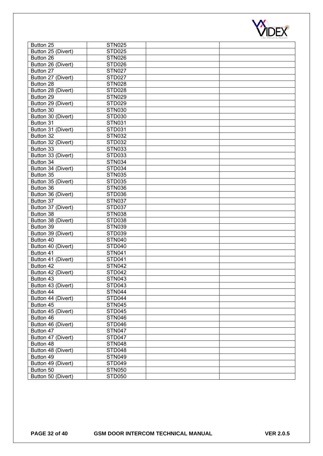

| Button 25          | <b>STN025</b> |  |
|--------------------|---------------|--|
| Button 25 (Divert) | <b>STD025</b> |  |
| Button 26          | <b>STN026</b> |  |
| Button 26 (Divert) | STD026        |  |
| Button 27          | <b>STN027</b> |  |
| Button 27 (Divert) | STD027        |  |
| Button 28          | <b>STN028</b> |  |
| Button 28 (Divert) | <b>STD028</b> |  |
| Button 29          | <b>STN029</b> |  |
| Button 29 (Divert) | <b>STD029</b> |  |
| Button 30          | <b>STN030</b> |  |
| Button 30 (Divert) | <b>STD030</b> |  |
| Button 31          | <b>STN031</b> |  |
| Button 31 (Divert) | STD031        |  |
| Button 32          | <b>STN032</b> |  |
| Button 32 (Divert) | <b>STD032</b> |  |
| Button 33          | <b>STN033</b> |  |
| Button 33 (Divert) | <b>STD033</b> |  |
| Button 34          | <b>STN034</b> |  |
| Button 34 (Divert) | STD034        |  |
| Button 35          | <b>STN035</b> |  |
| Button 35 (Divert) | <b>STD035</b> |  |
| Button 36          | <b>STN036</b> |  |
| Button 36 (Divert) | STD036        |  |
| Button 37          | <b>STN037</b> |  |
| Button 37 (Divert) | STD037        |  |
| Button 38          | <b>STN038</b> |  |
| Button 38 (Divert) | STD038        |  |
| Button 39          | <b>STN039</b> |  |
| Button 39 (Divert) | STD039        |  |
| Button 40          | <b>STN040</b> |  |
| Button 40 (Divert) | <b>STD040</b> |  |
| Button 41          | <b>STN041</b> |  |
| Button 41 (Divert) | <b>STD041</b> |  |
| Button 42          | <b>STN042</b> |  |
| Button 42 (Divert) | <b>STD042</b> |  |
| Button 43          | STN043        |  |
| Button 43 (Divert) | <b>STD043</b> |  |
| Button 44          | <b>STN044</b> |  |
| Button 44 (Divert) | STD044        |  |
| Button 45          | <b>STN045</b> |  |
| Button 45 (Divert) | <b>STD045</b> |  |
| Button 46          | <b>STN046</b> |  |
| Button 46 (Divert) | STD046        |  |
| Button 47          | <b>STN047</b> |  |
| Button 47 (Divert) | STD047        |  |
| Button 48          | <b>STN048</b> |  |
| Button 48 (Divert) | STD048        |  |
| Button 49          | <b>STN049</b> |  |
| Button 49 (Divert) | STD049        |  |
| Button 50          | <b>STN050</b> |  |
| Button 50 (Divert) | STD050        |  |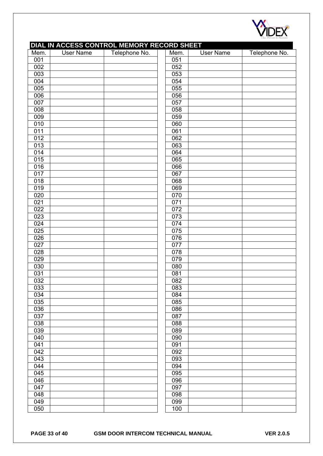

|      |                  | DIAL IN ACCESS CONTROL MEMORY RECORD SHEET |      |           |               |
|------|------------------|--------------------------------------------|------|-----------|---------------|
| Mem. | <b>User Name</b> | Telephone No.                              | Mem. | User Name | Telephone No. |
| 001  |                  |                                            | 051  |           |               |
| 002  |                  |                                            | 052  |           |               |
| 003  |                  |                                            | 053  |           |               |
| 004  |                  |                                            | 054  |           |               |
| 005  |                  |                                            | 055  |           |               |
| 006  |                  |                                            | 056  |           |               |
| 007  |                  |                                            | 057  |           |               |
| 008  |                  |                                            | 058  |           |               |
| 009  |                  |                                            | 059  |           |               |
| 010  |                  |                                            | 060  |           |               |
|      |                  |                                            | 061  |           |               |
| 011  |                  |                                            |      |           |               |
| 012  |                  |                                            | 062  |           |               |
| 013  |                  |                                            | 063  |           |               |
| 014  |                  |                                            | 064  |           |               |
| 015  |                  |                                            | 065  |           |               |
| 016  |                  |                                            | 066  |           |               |
| 017  |                  |                                            | 067  |           |               |
| 018  |                  |                                            | 068  |           |               |
| 019  |                  |                                            | 069  |           |               |
| 020  |                  |                                            | 070  |           |               |
| 021  |                  |                                            | 071  |           |               |
| 022  |                  |                                            | 072  |           |               |
| 023  |                  |                                            | 073  |           |               |
| 024  |                  |                                            | 074  |           |               |
| 025  |                  |                                            | 075  |           |               |
| 026  |                  |                                            | 076  |           |               |
| 027  |                  |                                            | 077  |           |               |
| 028  |                  |                                            | 078  |           |               |
| 029  |                  |                                            | 079  |           |               |
| 030  |                  |                                            | 080  |           |               |
| 031  |                  |                                            | 081  |           |               |
| 032  |                  |                                            | 082  |           |               |
| 033  |                  |                                            | 083  |           |               |
| 034  |                  |                                            | 084  |           |               |
| 035  |                  |                                            | 085  |           |               |
| 036  |                  |                                            | 086  |           |               |
| 037  |                  |                                            | 087  |           |               |
|      |                  |                                            |      |           |               |
| 038  |                  |                                            | 088  |           |               |
| 039  |                  |                                            | 089  |           |               |
| 040  |                  |                                            | 090  |           |               |
| 041  |                  |                                            | 091  |           |               |
| 042  |                  |                                            | 092  |           |               |
| 043  |                  |                                            | 093  |           |               |
| 044  |                  |                                            | 094  |           |               |
| 045  |                  |                                            | 095  |           |               |
| 046  |                  |                                            | 096  |           |               |
| 047  |                  |                                            | 097  |           |               |
| 048  |                  |                                            | 098  |           |               |
| 049  |                  |                                            | 099  |           |               |
| 050  |                  |                                            | 100  |           |               |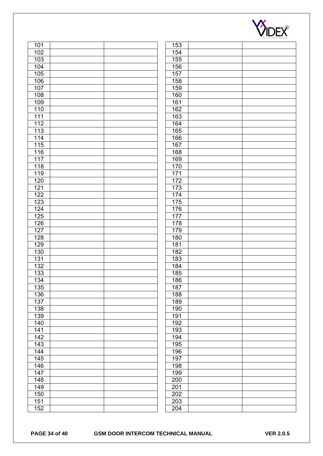

| 101               | 153              |
|-------------------|------------------|
| 102               | 154              |
| 103               | 155              |
| 104               | 156              |
| 105               | 157              |
| 106               | 158              |
| 107               | 159              |
| 108               | 160              |
| 109               | 161              |
| 110               | 162              |
| $\overline{111}$  | 163              |
| $\overline{112}$  | 164              |
| $\overline{113}$  | 165              |
| $\frac{114}{114}$ | 166              |
| 115               | 167              |
| 116               | 168              |
| 117               | 169              |
| 118               | 170              |
| 119               | 171              |
| 120               | 172              |
| 121               | 173              |
| 122               | 174              |
| 123               | 175              |
| 124               | 176              |
| 125               | 177              |
| 126               | 178              |
| 127               | 179              |
| 128               | 180              |
| 129               | 181              |
| 130               | 182              |
| 131               | 183              |
| $\overline{132}$  | 184              |
| 133               | $\overline{185}$ |
| 134               | 186              |
| 135               | 187              |
| 136               | 188              |
| $\overline{137}$  | 189              |
| 138               | 190              |
| 139               | 191              |
| 140               | 192              |
| $\overline{141}$  | 193              |
| $\overline{142}$  | 194              |
| $\overline{143}$  | $\overline{195}$ |
| 144               | 196              |
| 145               | 197              |
| 146               | 198              |
| 147               | 199              |
| 148               | 200              |
| 149               |                  |
|                   | 201<br>202       |
| 150               |                  |
| 151               | 203              |
| 152               | 204              |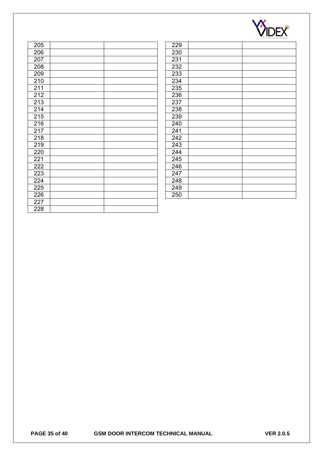

| 205 | 229 |
|-----|-----|
| 206 | 230 |
| 207 | 231 |
| 208 | 232 |
| 209 | 233 |
| 210 | 234 |
| 211 | 235 |
| 212 | 236 |
| 213 | 237 |
| 214 | 238 |
| 215 | 239 |
| 216 | 240 |
| 217 | 241 |
| 218 | 242 |
| 219 | 243 |
| 220 | 244 |
| 221 | 245 |
| 222 | 246 |
| 223 | 247 |
| 224 | 248 |
| 225 | 249 |
| 226 | 250 |
| 227 |     |
| 228 |     |

| 229 |  |
|-----|--|
| 230 |  |
| 231 |  |
| 232 |  |
| 233 |  |
| 234 |  |
| 235 |  |
| 236 |  |
| 237 |  |
| 238 |  |
| 239 |  |
| 240 |  |
| 241 |  |
| 242 |  |
| 243 |  |
| 244 |  |
| 245 |  |
| 246 |  |
| 247 |  |
| 248 |  |
| 249 |  |
| 250 |  |
|     |  |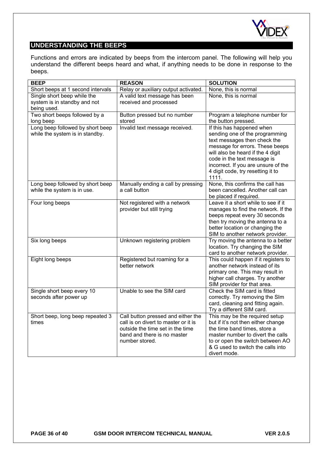

# **UNDERSTANDING THE BEEPS**

Functions and errors are indicated by beeps from the intercom panel. The following will help you understand the different beeps heard and what, if anything needs to be done in response to the beeps.

| None, this is normal<br>Short beeps at 1 second intervals<br>Relay or auxiliary output activated.<br>None, this is normal<br>Single short beep while the<br>A valid text message has been<br>system is in standby and not<br>received and processed<br>being used.<br>Two short beeps followed by a<br>Button pressed but no number<br>Program a telephone number for<br>long beep<br>stored<br>the button pressed.<br>Long beep followed by short beep<br>Invalid text message received.<br>If this has happened when<br>while the system is in standby.<br>sending one of the programming<br>text messages then check the<br>message for errors. These beeps |
|----------------------------------------------------------------------------------------------------------------------------------------------------------------------------------------------------------------------------------------------------------------------------------------------------------------------------------------------------------------------------------------------------------------------------------------------------------------------------------------------------------------------------------------------------------------------------------------------------------------------------------------------------------------|
|                                                                                                                                                                                                                                                                                                                                                                                                                                                                                                                                                                                                                                                                |
|                                                                                                                                                                                                                                                                                                                                                                                                                                                                                                                                                                                                                                                                |
|                                                                                                                                                                                                                                                                                                                                                                                                                                                                                                                                                                                                                                                                |
|                                                                                                                                                                                                                                                                                                                                                                                                                                                                                                                                                                                                                                                                |
|                                                                                                                                                                                                                                                                                                                                                                                                                                                                                                                                                                                                                                                                |
|                                                                                                                                                                                                                                                                                                                                                                                                                                                                                                                                                                                                                                                                |
|                                                                                                                                                                                                                                                                                                                                                                                                                                                                                                                                                                                                                                                                |
|                                                                                                                                                                                                                                                                                                                                                                                                                                                                                                                                                                                                                                                                |
|                                                                                                                                                                                                                                                                                                                                                                                                                                                                                                                                                                                                                                                                |
| will also be heard if the 4 digit                                                                                                                                                                                                                                                                                                                                                                                                                                                                                                                                                                                                                              |
| code in the text message is                                                                                                                                                                                                                                                                                                                                                                                                                                                                                                                                                                                                                                    |
| incorrect. If you are unsure of the                                                                                                                                                                                                                                                                                                                                                                                                                                                                                                                                                                                                                            |
| 4 digit code, try resetting it to                                                                                                                                                                                                                                                                                                                                                                                                                                                                                                                                                                                                                              |
| 1111.                                                                                                                                                                                                                                                                                                                                                                                                                                                                                                                                                                                                                                                          |
| None, this confirms the call has<br>Long beep followed by short beep<br>Manually ending a call by pressing                                                                                                                                                                                                                                                                                                                                                                                                                                                                                                                                                     |
| while the system is in use.<br>a call button<br>been cancelled. Another call can                                                                                                                                                                                                                                                                                                                                                                                                                                                                                                                                                                               |
| be placed if required.                                                                                                                                                                                                                                                                                                                                                                                                                                                                                                                                                                                                                                         |
| Not registered with a network<br>Leave it a short while to see if it<br>Four long beeps                                                                                                                                                                                                                                                                                                                                                                                                                                                                                                                                                                        |
| provider but still trying<br>manages to find the network. If the                                                                                                                                                                                                                                                                                                                                                                                                                                                                                                                                                                                               |
| beeps repeat every 30 seconds                                                                                                                                                                                                                                                                                                                                                                                                                                                                                                                                                                                                                                  |
| then try moving the antenna to a                                                                                                                                                                                                                                                                                                                                                                                                                                                                                                                                                                                                                               |
| better location or changing the                                                                                                                                                                                                                                                                                                                                                                                                                                                                                                                                                                                                                                |
| SIM to another network provider.                                                                                                                                                                                                                                                                                                                                                                                                                                                                                                                                                                                                                               |
| Six long beeps<br>Unknown registering problem<br>Try moving the antenna to a better                                                                                                                                                                                                                                                                                                                                                                                                                                                                                                                                                                            |
| location. Try changing the SIM                                                                                                                                                                                                                                                                                                                                                                                                                                                                                                                                                                                                                                 |
| card to another network provider.<br>This could happen if it registers to<br>Eight long beeps<br>Registered but roaming for a                                                                                                                                                                                                                                                                                                                                                                                                                                                                                                                                  |
| better network<br>another network instead of its                                                                                                                                                                                                                                                                                                                                                                                                                                                                                                                                                                                                               |
| primary one. This may result in                                                                                                                                                                                                                                                                                                                                                                                                                                                                                                                                                                                                                                |
| higher call charges. Try another                                                                                                                                                                                                                                                                                                                                                                                                                                                                                                                                                                                                                               |
| SIM provider for that area.                                                                                                                                                                                                                                                                                                                                                                                                                                                                                                                                                                                                                                    |
| Unable to see the SIM card<br>Check the SIM card is fitted<br>Single short beep every 10                                                                                                                                                                                                                                                                                                                                                                                                                                                                                                                                                                       |
| seconds after power up<br>correctly. Try removing the SIm                                                                                                                                                                                                                                                                                                                                                                                                                                                                                                                                                                                                      |
| card, cleaning and fitting again.                                                                                                                                                                                                                                                                                                                                                                                                                                                                                                                                                                                                                              |
| Try a different SIM card.                                                                                                                                                                                                                                                                                                                                                                                                                                                                                                                                                                                                                                      |
| This may be the required setup<br>Short beep, long beep repeated 3<br>Call button pressed and either the                                                                                                                                                                                                                                                                                                                                                                                                                                                                                                                                                       |
| call is on divert to master or it is<br>but if it's not then either change<br>times                                                                                                                                                                                                                                                                                                                                                                                                                                                                                                                                                                            |
| outside the time set in the time<br>the time band times, store a                                                                                                                                                                                                                                                                                                                                                                                                                                                                                                                                                                                               |
| band and there is no master<br>master number to divert the calls                                                                                                                                                                                                                                                                                                                                                                                                                                                                                                                                                                                               |
| number stored.<br>to or open the switch between AO                                                                                                                                                                                                                                                                                                                                                                                                                                                                                                                                                                                                             |
| & G used to switch the calls into<br>divert mode.                                                                                                                                                                                                                                                                                                                                                                                                                                                                                                                                                                                                              |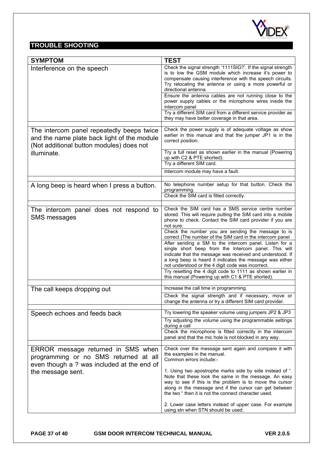

# **TROUBLE SHOOTING**

| <b>SYMPTOM</b>                                                                                                                       | <b>TEST</b>                                                                                                                                                                                                                                                                                                                                               |
|--------------------------------------------------------------------------------------------------------------------------------------|-----------------------------------------------------------------------------------------------------------------------------------------------------------------------------------------------------------------------------------------------------------------------------------------------------------------------------------------------------------|
| Interference on the speech                                                                                                           | Check the signal strength '1111SIG?'. If the signal strength<br>is to low the GSM module which increase it's power to<br>compensate causing interference with the speech circuits.<br>Try relocating the antenna or using a more powerful or<br>directional antenna.                                                                                      |
|                                                                                                                                      | Ensure the antenna cables are not running close to the<br>power supply cables or the microphone wires inside the<br>intercom panel                                                                                                                                                                                                                        |
|                                                                                                                                      | Try a different SIM card from a different service provider as<br>they may have better coverage in that area.                                                                                                                                                                                                                                              |
| The intercom panel repeatedly beeps twice<br>and the name plate back light of the module<br>(Not additional button modules) does not | Check the power supply is of adequate voltage as show<br>earlier in this manual and that the jumper JP1 is in the<br>correct position.                                                                                                                                                                                                                    |
| illuminate.                                                                                                                          | Try a full reset as shown earlier in the manual (Powering<br>up with C2 & PTE shorted).                                                                                                                                                                                                                                                                   |
|                                                                                                                                      | Try a different SIM card.                                                                                                                                                                                                                                                                                                                                 |
|                                                                                                                                      | Intercom module may have a fault.                                                                                                                                                                                                                                                                                                                         |
| A long beep is heard when I press a button.                                                                                          | No telephone number setup for that button. Check the<br>programming.                                                                                                                                                                                                                                                                                      |
|                                                                                                                                      | Check the SIM card is fitted correctly.                                                                                                                                                                                                                                                                                                                   |
| The intercom panel does not respond to<br>SMS messages                                                                               | Check the SIM card has a SMS service centre number<br>stored. This will require putting the SIM card into a mobile<br>phone to check. Contact the SIM card provider if you are<br>not sure.<br>Check the number you are sending the message to is                                                                                                         |
|                                                                                                                                      | correct (The number of the SIM card in the intercom panel<br>After sending a SM to the intercom panel. Listen for a<br>single short beep from the Intercom panel. This will<br>indicate that the message was received and understood. If<br>a long beep is heard it indicates the message was either<br>not understood or the 4 digit code was incorrect. |
|                                                                                                                                      | Try resetting the 4 digit code to 1111 as shown earlier in<br>this manual (Powering up with C1 & PTE shorted).                                                                                                                                                                                                                                            |
| The call keeps dropping out                                                                                                          | Increase the call time in programming.                                                                                                                                                                                                                                                                                                                    |
|                                                                                                                                      | Check the signal strength and if necessary, move or<br>change the antenna or try a different SIM card provider.                                                                                                                                                                                                                                           |
| Speech echoes and feeds back                                                                                                         | Try lowering the speaker volume using jumpers JP2 & JP3                                                                                                                                                                                                                                                                                                   |
|                                                                                                                                      | Try adjusting the volume using the programmable settings<br>during a call<br>Check the microphone is fitted correctly in the intercom                                                                                                                                                                                                                     |
|                                                                                                                                      | panel and that the mic hole is not blocked in any way.                                                                                                                                                                                                                                                                                                    |
| ERROR message returned in SMS when<br>programming or no SMS returned at all<br>even though a ? was included at the end of            | Check over the message sent again and compare it with<br>the examples in the manual.<br>Common errors include:-                                                                                                                                                                                                                                           |
| the message sent.                                                                                                                    | 1. Using two apostrophe marks side by side instead of ".<br>Note that these look the same in the message. An easy<br>way to see if this is the problem is to move the cursor<br>along in the message and if the cursor can get between<br>the two "then it is not the connect character used.                                                             |
|                                                                                                                                      | 2. Lower case letters instead of upper case. For example<br>using stn when STN should be used.                                                                                                                                                                                                                                                            |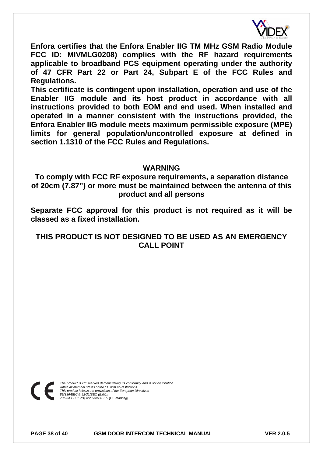

**Enfora certifies that the Enfora Enabler IIG TM MHz GSM Radio Module FCC ID: MIVMLG0208) complies with the RF hazard requirements applicable to broadband PCS equipment operating under the authority of 47 CFR Part 22 or Part 24, Subpart E of the FCC Rules and Regulations.** 

**This certificate is contingent upon installation, operation and use of the Enabler IIG module and its host product in accordance with all instructions provided to both EOM and end used. When installed and operated in a manner consistent with the instructions provided, the Enfora Enabler IIG module meets maximum permissible exposure (MPE) limits for general population/uncontrolled exposure at defined in section 1.1310 of the FCC Rules and Regulations.** 

# **WARNING**

**To comply with FCC RF exposure requirements, a separation distance of 20cm (7.87") or more must be maintained between the antenna of this product and all persons** 

**Separate FCC approval for this product is not required as it will be classed as a fixed installation.** 

# **THIS PRODUCT IS NOT DESIGNED TO BE USED AS AN EMERGENCY CALL POINT**

*The product is CE marked demonstrating its conformity and is for distribution within all member states of the EU with no restrictions. This product follows the provisions of the European Directives 89/336/EEC & 92/31/EEC (EMC), 73/23/EEC (LVD) and 93/68/EEC (CE marking).*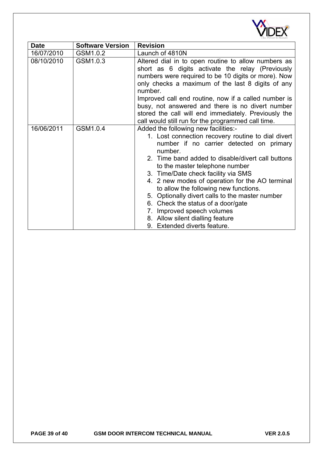

| <b>Date</b> | <b>Software Version</b> | <b>Revision</b>                                                                                                                                                                                                                                                                                                                                                                                                                                                                                                                                                        |
|-------------|-------------------------|------------------------------------------------------------------------------------------------------------------------------------------------------------------------------------------------------------------------------------------------------------------------------------------------------------------------------------------------------------------------------------------------------------------------------------------------------------------------------------------------------------------------------------------------------------------------|
| 16/07/2010  | GSM1.0.2                | Launch of 4810N                                                                                                                                                                                                                                                                                                                                                                                                                                                                                                                                                        |
| 08/10/2010  | GSM1.0.3                | Altered dial in to open routine to allow numbers as<br>short as 6 digits activate the relay (Previously<br>numbers were required to be 10 digits or more). Now<br>only checks a maximum of the last 8 digits of any<br>number.<br>Improved call end routine, now if a called number is<br>busy, not answered and there is no divert number<br>stored the call will end immediately. Previously the<br>call would still run for the programmed call time.                                                                                                               |
| 16/06/2011  | GSM1.0.4                | Added the following new facilities:-<br>1. Lost connection recovery routine to dial divert<br>number if no carrier detected on primary<br>number.<br>2. Time band added to disable/divert call buttons<br>to the master telephone number<br>3. Time/Date check facility via SMS<br>4. 2 new modes of operation for the AO terminal<br>to allow the following new functions.<br>5. Optionally divert calls to the master number<br>6. Check the status of a door/gate<br>7. Improved speech volumes<br>8. Allow silent dialling feature<br>9. Extended diverts feature. |